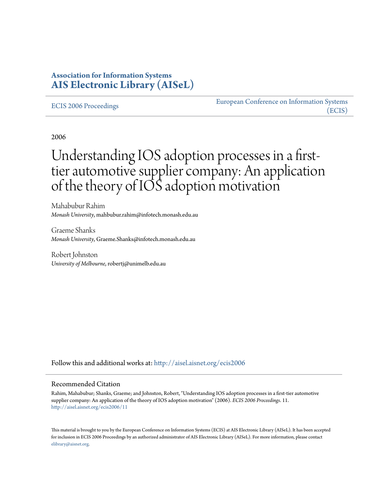## **Association for Information Systems [AIS Electronic Library \(AISeL\)](http://aisel.aisnet.org?utm_source=aisel.aisnet.org%2Fecis2006%2F11&utm_medium=PDF&utm_campaign=PDFCoverPages)**

#### [ECIS 2006 Proceedings](http://aisel.aisnet.org/ecis2006?utm_source=aisel.aisnet.org%2Fecis2006%2F11&utm_medium=PDF&utm_campaign=PDFCoverPages)

[European Conference on Information Systems](http://aisel.aisnet.org/ecis?utm_source=aisel.aisnet.org%2Fecis2006%2F11&utm_medium=PDF&utm_campaign=PDFCoverPages) [\(ECIS\)](http://aisel.aisnet.org/ecis?utm_source=aisel.aisnet.org%2Fecis2006%2F11&utm_medium=PDF&utm_campaign=PDFCoverPages)

2006

# Understanding IOS adoption processes in a firsttier automotive supplier company: An application of the theory of IOS adoption motivation

Mahabubur Rahim *Monash University*, mahbubur.rahim@infotech.monash.edu.au

Graeme Shanks *Monash University*, Graeme.Shanks@infotech.monash.edu.au

Robert Johnston *University of Melbourne*, robertj@unimelb.edu.au

Follow this and additional works at: [http://aisel.aisnet.org/ecis2006](http://aisel.aisnet.org/ecis2006?utm_source=aisel.aisnet.org%2Fecis2006%2F11&utm_medium=PDF&utm_campaign=PDFCoverPages)

#### Recommended Citation

Rahim, Mahabubur; Shanks, Graeme; and Johnston, Robert, "Understanding IOS adoption processes in a first-tier automotive supplier company: An application of the theory of IOS adoption motivation" (2006). *ECIS 2006 Proceedings*. 11. [http://aisel.aisnet.org/ecis2006/11](http://aisel.aisnet.org/ecis2006/11?utm_source=aisel.aisnet.org%2Fecis2006%2F11&utm_medium=PDF&utm_campaign=PDFCoverPages)

This material is brought to you by the European Conference on Information Systems (ECIS) at AIS Electronic Library (AISeL). It has been accepted for inclusion in ECIS 2006 Proceedings by an authorized administrator of AIS Electronic Library (AISeL). For more information, please contact [elibrary@aisnet.org.](mailto:elibrary@aisnet.org%3E)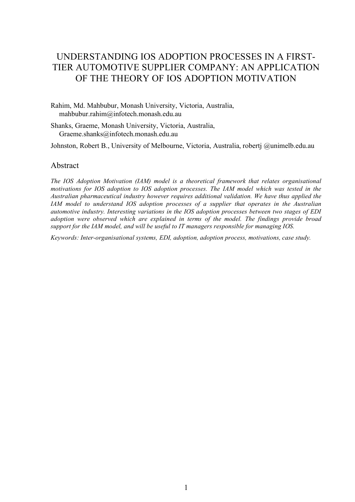## UNDERSTANDING IOS ADOPTION PROCESSES IN A FIRST-TIER AUTOMOTIVE SUPPLIER COMPANY: AN APPLICATION OF THE THEORY OF IOS ADOPTION MOTIVATION

Rahim, Md. Mahbubur, Monash University, Victoria, Australia, mahbubur.rahim@infotech.monash.edu.au

Shanks, Graeme, Monash University, Victoria, Australia, Graeme.shanks@infotech.monash.edu.au

Johnston, Robert B., University of Melbourne, Victoria, Australia, robertj @unimelb.edu.au

#### Abstract

*The IOS Adoption Motivation (IAM) model is a theoretical framework that relates organisational motivations for IOS adoption to IOS adoption processes. The IAM model which was tested in the Australian pharmaceutical industry however requires additional validation. We have thus applied the IAM model to understand IOS adoption processes of a supplier that operates in the Australian automotive industry. Interesting variations in the IOS adoption processes between two stages of EDI adoption were observed which are explained in terms of the model. The findings provide broad support for the IAM model, and will be useful to IT managers responsible for managing IOS.*

*Keywords: Inter-organisational systems, EDI, adoption, adoption process, motivations, case study.*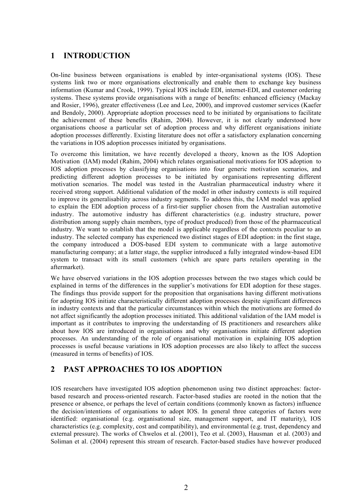## **1 INTRODUCTION**

On-line business between organisations is enabled by inter-organisational systems (IOS). These systems link two or more organisations electronically and enable them to exchange key business information (Kumar and Crook, 1999). Typical IOS include EDI, internet-EDI, and customer ordering systems. These systems provide organisations with a range of benefits: enhanced efficiency (Mackay and Rosier, 1996), greater effectiveness (Lee and Lee, 2000), and improved customer services (Kaefer and Bendoly, 2000). Appropriate adoption processes need to be initiated by organisations to facilitate the achievement of these benefits (Rahim, 2004). However, it is not clearly understood how organisations choose a particular set of adoption process and why different organisations initiate adoption processes differently. Existing literature does not offer a satisfactory explanation concerning the variations in IOS adoption processes initiated by organisations.

To overcome this limitation, we have recently developed a theory, known as the IOS Adoption Motivation (IAM) model (Rahim, 2004) which relates organisational motivations for IOS adoption to IOS adoption processes by classifying organisations into four generic motivation scenarios, and predicting different adoption processes to be initiated by organisations representing different motivation scenarios. The model was tested in the Australian pharmaceutical industry where it received strong support. Additional validation of the model in other industry contexts is still required to improve its generalisability across industry segments. To address this, the IAM model was applied to explain the EDI adoption process of a first-tier supplier chosen from the Australian automotive industry. The automotive industry has different characteristics (e.g. industry structure, power distribution among supply chain members, type of product produced) from those of the pharmaceutical industry. We want to establish that the model is applicable regardless of the contexts peculiar to an industry. The selected company has experienced two distinct stages of EDI adoption: in the first stage, the company introduced a DOS-based EDI system to communicate with a large automotive manufacturing company; at a latter stage, the supplier introduced a fully integrated window-based EDI system to transact with its small customers (which are spare parts retailers operating in the aftermarket).

We have observed variations in the IOS adoption processes between the two stages which could be explained in terms of the differences in the supplier's motivations for EDI adoption for these stages. The findings thus provide support for the proposition that organisations having different motivations for adopting IOS initiate characteristically different adoption processes despite significant differences in industry contexts and that the particular circumstances within which the motivations are formed do not affect significantly the adoption processes initiated. This additional validation of the IAM model is important as it contributes to improving the understanding of IS practitioners and researchers alike about how IOS are introduced in organisations and why organisations initiate different adoption processes. An understanding of the role of organisational motivation in explaining IOS adoption processes is useful because variations in IOS adoption processes are also likely to affect the success (measured in terms of benefits) of IOS.

## **2 PAST APPROACHES TO IOS ADOPTION**

IOS researchers have investigated IOS adoption phenomenon using two distinct approaches: factorbased research and process-oriented research. Factor-based studies are rooted in the notion that the presence or absence, or perhaps the level of certain conditions (commonly known as factors) influence the decision/intentions of organisations to adopt IOS. In general three categories of factors were identified: organisational (e.g. organisational size, management support, and IT maturity), IOS characteristics (e.g. complexity, cost and compatibility), and environmental (e.g. trust, dependency and external pressure). The works of Chwelos et al. (2001), Teo et al. (2003), Hausman et al. (2003) and Soliman et al. (2004) represent this stream of research. Factor-based studies have however produced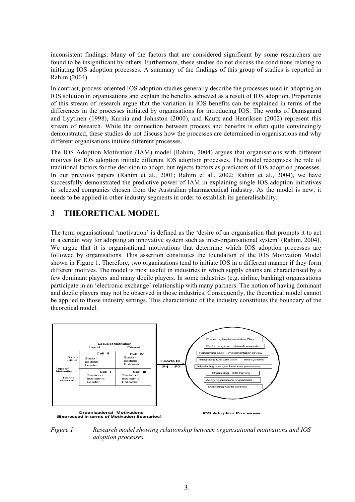inconsistent findings. Many of the factors that are considered significant by some researchers are found to be insignificant by others. Furthermore, these studies do not discuss the conditions relating to initiating IOS adoption processes. A summary of the findings of this group of studies is reported in Rahim (2004).

In contrast, process-oriented IOS adoption studies generally describe the processes used in adopting an IOS solution in organisations and explain the benefits achieved as a result of IOS adoption. Proponents of this stream of research argue that the variation in IOS benefits can be explained in terms of the differences in the processes initiated by organisations for introducing IOS. The works of Damsgaard and Lyytinen (1998), Kurnia and Johnston (2000), and Kautz and Henriksen (2002) represent this stream of research. While the connection between process and benefits is often quite convincingly demonstrated, these studies do not discuss how the processes are determined in organisations and why different organisations initiate different processes.

The IOS Adoption Motivation (IAM) model (Rahim, 2004) argues that organisations with different motives for IOS adoption initiate different IOS adoption processes. The model recognises the role of traditional factors for the decision to adopt, but rejects factors as predictors of IOS adoption processes. In our previous papers (Rahim et al., 2001; Rahim et al., 2002; Rahim et al., 2004), we have successfully demonstrated the predictive power of IAM in explaining single IOS adoption initiatives in selected companies chosen from the Australian pharmaceutical industry. As the model is new, it needs to be applied in other industry segments in order to establish its generalisability.

#### **3 THEORETICAL MODEL**

The term organisational 'motivation' is defined as the 'desire of an organisation that prompts it to act in a certain way for adopting an innovative system such as inter-organisational system' (Rahim, 2004). We argue that it is organisational motivations that determine which IOS adoption processes are followed by organisations. This assertion constitutes the foundation of the IOS Motivation Model shown in Figure 1. Therefore, two organisations tend to initiate IOS in a different manner if they form different motives. The model is most useful in industries in which supply chains are characterised by a few dominant players and many docile players. In some industries (e.g. airline, banking) organisations participate in an 'electronic exchange' relationship with many partners. The notion of having dominant and docile players may not be observed in those industries. Consequently, the theoretical model cannot be applied to those industry settings. This characteristic of the industry constitutes the boundary of the theoretical model.



*Figure 1. Research model showing relationship between organisational motivations and IOS adoption processes.*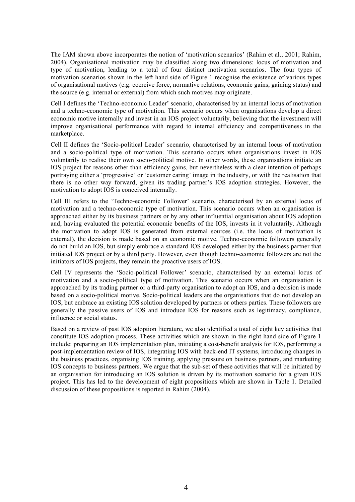The IAM shown above incorporates the notion of 'motivation scenarios' (Rahim et al., 2001; Rahim, 2004). Organisational motivation may be classified along two dimensions: locus of motivation and type of motivation, leading to a total of four distinct motivation scenarios. The four types of motivation scenarios shown in the left hand side of Figure 1 recognise the existence of various types of organisational motives (e.g. coercive force, normative relations, economic gains, gaining status) and the source (e.g. internal or external) from which such motives may originate.

Cell I defines the 'Techno-economic Leader' scenario, characterised by an internal locus of motivation and a techno-economic type of motivation. This scenario occurs when organisations develop a direct economic motive internally and invest in an IOS project voluntarily, believing that the investment will improve organisational performance with regard to internal efficiency and competitiveness in the marketplace.

Cell II defines the 'Socio-political Leader' scenario, characterised by an internal locus of motivation and a socio-political type of motivation. This scenario occurs when organisations invest in IOS voluntarily to realise their own socio-political motive. In other words, these organisations initiate an IOS project for reasons other than efficiency gains, but nevertheless with a clear intention of perhaps portraying either a 'progressive' or 'customer caring' image in the industry, or with the realisation that there is no other way forward, given its trading partner's IOS adoption strategies. However, the motivation to adopt IOS is conceived internally.

Cell III refers to the 'Techno-economic Follower' scenario, characterised by an external locus of motivation and a techno-economic type of motivation. This scenario occurs when an organisation is approached either by its business partners or by any other influential organisation about IOS adoption and, having evaluated the potential economic benefits of the IOS, invests in it voluntarily. Although the motivation to adopt IOS is generated from external sources (i.e. the locus of motivation is external), the decision is made based on an economic motive. Techno-economic followers generally do not build an IOS, but simply embrace a standard IOS developed either by the business partner that initiated IOS project or by a third party. However, even though techno-economic followers are not the initiators of IOS projects, they remain the proactive users of IOS.

Cell IV represents the 'Socio-political Follower' scenario, characterised by an external locus of motivation and a socio-political type of motivation. This scenario occurs when an organisation is approached by its trading partner or a third-party organisation to adopt an IOS, and a decision is made based on a socio-political motive. Socio-political leaders are the organisations that do not develop an IOS, but embrace an existing IOS solution developed by partners or others parties. These followers are generally the passive users of IOS and introduce IOS for reasons such as legitimacy, compliance, influence or social status.

Based on a review of past IOS adoption literature, we also identified a total of eight key activities that constitute IOS adoption process. These activities which are shown in the right hand side of Figure 1 include: preparing an IOS implementation plan, initiating a cost-benefit analysis for IOS, performing a post-implementation review of IOS, integrating IOS with back-end IT systems, introducing changes in the business practices, organising IOS training, applying pressure on business partners, and marketing IOS concepts to business partners. We argue that the sub-set of these activities that will be initiated by an organisation for introducing an IOS solution is driven by its motivation scenario for a given IOS project. This has led to the development of eight propositions which are shown in Table 1. Detailed discussion of these propositions is reported in Rahim (2004).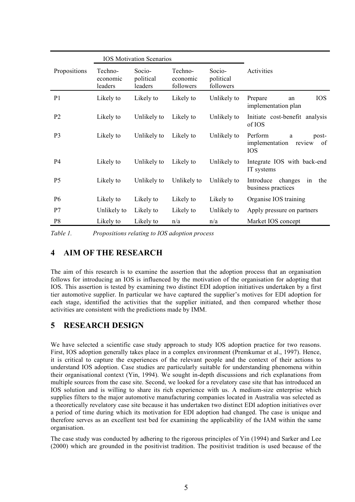|                | <b>IOS Motivation Scenarios</b> |                                |                                  |                                  |                                                                       |
|----------------|---------------------------------|--------------------------------|----------------------------------|----------------------------------|-----------------------------------------------------------------------|
| Propositions   | Techno-<br>economic<br>leaders  | Socio-<br>political<br>leaders | Techno-<br>economic<br>followers | Socio-<br>political<br>followers | Activities                                                            |
| P <sub>1</sub> | Likely to                       | Likely to                      | Likely to                        | Unlikely to                      | <b>IOS</b><br>Prepare<br>an<br>implementation plan                    |
| P <sub>2</sub> | Likely to                       | Unlikely to                    | Likely to                        | Unlikely to                      | Initiate cost-benefit analysis<br>of IOS                              |
| P <sub>3</sub> | Likely to                       | Unlikely to                    | Likely to                        | Unlikely to                      | Perform<br>post-<br>a<br>implementation<br>review<br>of<br><b>IOS</b> |
| P <sub>4</sub> | Likely to                       | Unlikely to                    | Likely to                        | Unlikely to                      | Integrate IOS with back-end<br>IT systems                             |
| P <sub>5</sub> | Likely to                       | Unlikely to                    | Unlikely to                      | Unlikely to                      | Introduce<br>changes<br>the<br>in<br>business practices               |
| P <sub>6</sub> | Likely to                       | Likely to                      | Likely to                        | Likely to                        | Organise IOS training                                                 |
| P7             | Unlikely to                     | Likely to                      | Likely to                        | Unlikely to                      | Apply pressure on partners                                            |
| P <sub>8</sub> | Likely to                       | Likely to                      | n/a                              | n/a                              | Market IOS concept                                                    |

*Table 1. Propositions relating to IOS adoption process*

#### **4 AIM OF THE RESEARCH**

The aim of this research is to examine the assertion that the adoption process that an organisation follows for introducing an IOS is influenced by the motivation of the organisation for adopting that IOS. This assertion is tested by examining two distinct EDI adoption initiatives undertaken by a first tier automotive supplier. In particular we have captured the supplier's motives for EDI adoption for each stage, identified the activities that the supplier initiated, and then compared whether those activities are consistent with the predictions made by IMM.

## **5 RESEARCH DESIGN**

We have selected a scientific case study approach to study IOS adoption practice for two reasons. First, IOS adoption generally takes place in a complex environment (Premkumar et al., 1997). Hence, it is critical to capture the experiences of the relevant people and the context of their actions to understand IOS adoption. Case studies are particularly suitable for understanding phenomena within their organisational context (Yin, 1994). We sought in-depth discussions and rich explanations from multiple sources from the case site. Second, we looked for a revelatory case site that has introduced an IOS solution and is willing to share its rich experience with us. A medium-size enterprise which supplies filters to the major automotive manufacturing companies located in Australia was selected as a theoretically revelatory case site because it has undertaken two distinct EDI adoption initiatives over a period of time during which its motivation for EDI adoption had changed. The case is unique and therefore serves as an excellent test bed for examining the applicability of the IAM within the same organisation.

The case study was conducted by adhering to the rigorous principles of Yin (1994) and Sarker and Lee (2000) which are grounded in the positivist tradition. The positivist tradition is used because of the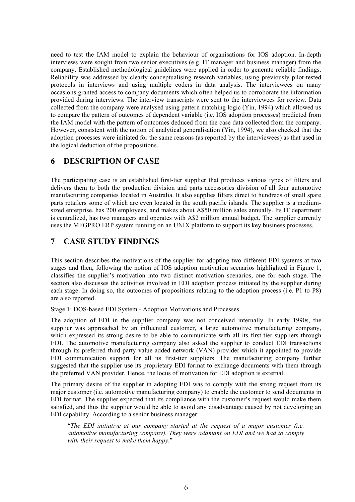need to test the IAM model to explain the behaviour of organisations for IOS adoption. In-depth interviews were sought from two senior executives (e.g. IT manager and business manager) from the company. Established methodological guidelines were applied in order to generate reliable findings. Reliability was addressed by clearly conceptualising research variables, using previously pilot-tested protocols in interviews and using multiple coders in data analysis. The interviewees on many occasions granted access to company documents which often helped us to corroborate the information provided during interviews. The interview transcripts were sent to the interviewees for review. Data collected from the company were analysed using pattern matching logic (Yin, 1994) which allowed us to compare the pattern of outcomes of dependent variable (i.e. IOS adoption processes) predicted from the IAM model with the pattern of outcomes deduced from the case data collected from the company. However, consistent with the notion of analytical generalisation (Yin, 1994), we also checked that the adoption processes were initiated for the same reasons (as reported by the interviewees) as that used in the logical deduction of the propositions.

#### **6 DESCRIPTION OF CASE**

The participating case is an established first-tier supplier that produces various types of filters and delivers them to both the production division and parts accessories division of all four automotive manufacturing companies located in Australia. It also supplies filters direct to hundreds of small spare parts retailers some of which are even located in the south pacific islands. The supplier is a mediumsized enterprise, has 200 employees, and makes about A\$50 million sales annually. Its IT department is centralized, has two managers and operates with A\$2 million annual budget. The supplier currently uses the MFGPRO ERP system running on an UNIX platform to support its key business processes.

## **7 CASE STUDY FINDINGS**

This section describes the motivations of the supplier for adopting two different EDI systems at two stages and then, following the notion of IOS adoption motivation scenarios highlighted in Figure 1, classifies the supplier's motivation into two distinct motivation scenarios, one for each stage. The section also discusses the activities involved in EDI adoption process initiated by the supplier during each stage. In doing so, the outcomes of propositions relating to the adoption process (i.e. P1 to P8) are also reported.

Stage 1: DOS-based EDI System - Adoption Motivations and Processes

The adoption of EDI in the supplier company was not conceived internally. In early 1990s, the supplier was approached by an influential customer, a large automotive manufacturing company, which expressed its strong desire to be able to communicate with all its first-tier suppliers through EDI. The automotive manufacturing company also asked the supplier to conduct EDI transactions through its preferred third-party value added network (VAN) provider which it appointed to provide EDI communication support for all its first-tier suppliers. The manufacturing company further suggested that the supplier use its proprietary EDI format to exchange documents with them through the preferred VAN provider. Hence, the locus of motivation for EDI adoption is external.

The primary desire of the supplier in adopting EDI was to comply with the strong request from its major customer (i.e. automotive manufacturing company) to enable the customer to send documents in EDI format. The supplier expected that its compliance with the customer's request would make them satisfied, and thus the supplier would be able to avoid any disadvantage caused by not developing an EDI capability. According to a senior business manager:

"*The EDI initiative at our company started at the request of a major customer (i.e. automotive manufacturing company). They were adamant on EDI and we had to comply with their request to make them happy*."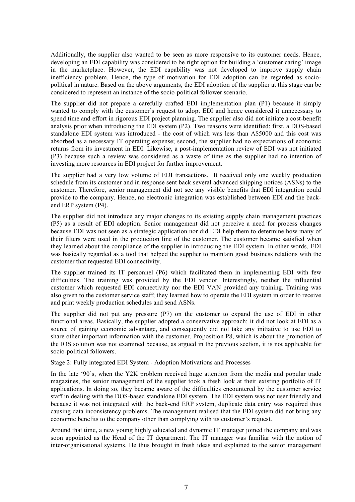Additionally, the supplier also wanted to be seen as more responsive to its customer needs. Hence, developing an EDI capability was considered to be right option for building a 'customer caring' image in the marketplace. However, the EDI capability was not developed to improve supply chain inefficiency problem. Hence, the type of motivation for EDI adoption can be regarded as sociopolitical in nature. Based on the above arguments, the EDI adoption of the supplier at this stage can be considered to represent an instance of the socio-political follower scenario.

The supplier did not prepare a carefully crafted EDI implementation plan (P1) because it simply wanted to comply with the customer's request to adopt EDI and hence considered it unnecessary to spend time and effort in rigorous EDI project planning. The supplier also did not initiate a cost-benefit analysis prior when introducing the EDI system (P2). Two reasons were identified: first, a DOS-based standalone EDI system was introduced - the cost of which was less than A\$5000 and this cost was absorbed as a necessary IT operating expense; second, the supplier had no expectations of economic returns from its investment in EDI. Likewise, a post-implementation review of EDI was not initiated (P3) because such a review was considered as a waste of time as the supplier had no intention of investing more resources in EDI project for further improvement.

The supplier had a very low volume of EDI transactions. It received only one weekly production schedule from its customer and in response sent back several advanced shipping notices (ASNs) to the customer. Therefore, senior management did not see any visible benefits that EDI integration could provide to the company. Hence, no electronic integration was established between EDI and the backend ERP system (P4).

The supplier did not introduce any major changes to its existing supply chain management practices (P5) as a result of EDI adoption. Senior management did not perceive a need for process changes because EDI was not seen as a strategic application nor did EDI help them to determine how many of their filters were used in the production line of the customer. The customer became satisfied when they learned about the compliance of the supplier in introducing the EDI system. In other words, EDI was basically regarded as a tool that helped the supplier to maintain good business relations with the customer that requested EDI connectivity.

The supplier trained its IT personnel (P6) which facilitated them in implementing EDI with few difficulties. The training was provided by the EDI vendor. Interestingly, neither the influential customer which requested EDI connectivity nor the EDI VAN provided any training. Training was also given to the customer service staff; they learned how to operate the EDI system in order to receive and print weekly production schedules and send ASNs.

The supplier did not put any pressure (P7) on the customer to expand the use of EDI in other functional areas. Basically, the supplier adopted a conservative approach; it did not look at EDI as a source of gaining economic advantage, and consequently did not take any initiative to use EDI to share other important information with the customer. Proposition P8, which is about the promotion of the IOS solution was not examined because, as argued in the previous section, it is not applicable for socio-political followers.

#### Stage 2: Fully integrated EDI System - Adoption Motivations and Processes

In the late '90's, when the Y2K problem received huge attention from the media and popular trade magazines, the senior management of the supplier took a fresh look at their existing portfolio of IT applications. In doing so, they became aware of the difficulties encountered by the customer service staff in dealing with the DOS-based standalone EDI system. The EDI system was not user friendly and because it was not integrated with the back-end ERP system, duplicate data entry was required thus causing data inconsistency problems. The management realised that the EDI system did not bring any economic benefits to the company other than complying with its customer's request.

Around that time, a new young highly educated and dynamic IT manager joined the company and was soon appointed as the Head of the IT department. The IT manager was familiar with the notion of inter-organisational systems. He thus brought in fresh ideas and explained to the senior management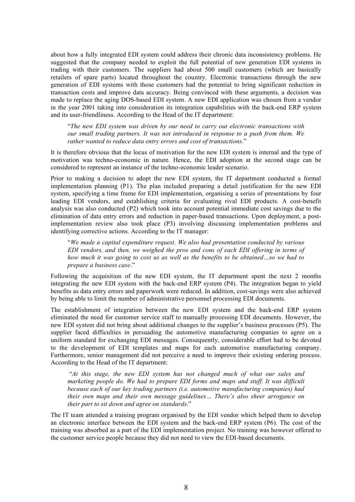about how a fully integrated EDI system could address their chronic data inconsistency problems. He suggested that the company needed to exploit the full potential of new generation EDI systems in trading with their customers. The suppliers had about 500 small customers (which are basically retailers of spare parts) located throughout the country. Electronic transactions through the new generation of EDI systems with those customers had the potential to bring significant reduction in transaction costs and improve data accuracy. Being convinced with these arguments, a decision was made to replace the aging DOS-based EDI system. A new EDI application was chosen from a vendor in the year 2001 taking into consideration its integration capabilities with the back-end ERP system and its user-friendliness. According to the Head of the IT department:

"*The new EDI system was driven by our need to carry out electronic transactions with our small trading partners. It was not introduced in response to a push from them. We rather wanted to reduce data entry errors and cost of transactions*."

It is therefore obvious that the locus of motivation for the new EDI system is internal and the type of motivation was techno-economic in nature. Hence, the EDI adoption at the second stage can be considered to represent an instance of the techno-economic leader scenario.

Prior to making a decision to adopt the new EDI system, the IT department conducted a formal implementation planning (P1). The plan included preparing a detail justification for the new EDI system, specifying a time frame for EDI implementation, organising a series of presentations by four leading EDI vendors, and establishing criteria for evaluating rival EDI products. A cost-benefit analysis was also conducted (P2) which took into account potential immediate cost savings due to the elimination of data entry errors and reduction in paper-based transactions. Upon deployment, a postimplementation review also took place (P3) involving discussing implementation problems and identifying corrective actions. According to the IT manager:

"*We made a capital expenditure request. We also had presentation conducted by various EDI vendors, and then, we weighed the pros and cons of each EDI offering in terms of how much it was going to cost us as well as the benefits to be obtained…so we had to prepare a business case*."

Following the acquisition of the new EDI system, the IT department spent the next 2 months integrating the new EDI system with the back-end ERP system (P4). The integration began to yield benefits as data entry errors and paperwork were reduced. In addition, cost-savings were also achieved by being able to limit the number of administrative personnel processing EDI documents.

The establishment of integration between the new EDI system and the back-end ERP system eliminated the need for customer service staff to manually processing EDI documents. However, the new EDI system did not bring about additional changes to the supplier's business processes (P5). The supplier faced difficulties in persuading the automotive manufacturing companies to agree on a uniform standard for exchanging EDI messages. Consequently, considerable effort had to be devoted to the development of EDI templates and maps for each automotive manufacturing company. Furthermore, senior management did not perceive a need to improve their existing ordering process. According to the Head of the IT department:

"*At this stage, the new EDI system has not changed much of what our sales and marketing people do. We had to prepare EDI forms and maps and stuff. It was difficult because each of our key trading partners (i.e. automotive manufacturing companies) had their own maps and their own message guidelines… There's also sheer arrogance on their part to sit down and agree on standards*."

The IT team attended a training program organised by the EDI vendor which helped them to develop an electronic interface between the EDI system and the back-end ERP system (P6). The cost of the training was absorbed as a part of the EDI implementation project. No training was however offered to the customer service people because they did not need to view the EDI-based documents.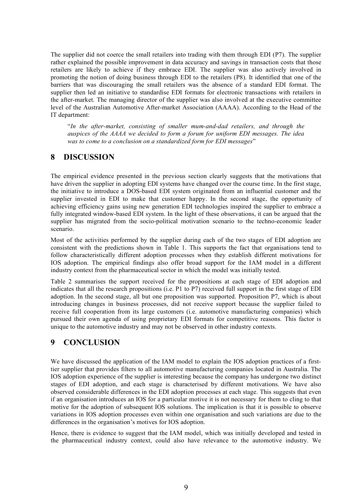The supplier did not coerce the small retailers into trading with them through EDI (P7). The supplier rather explained the possible improvement in data accuracy and savings in transaction costs that those retailers are likely to achieve if they embrace EDI. The supplier was also actively involved in promoting the notion of doing business through EDI to the retailers (P8). It identified that one of the barriers that was discouraging the small retailers was the absence of a standard EDI format. The supplier then led an initiative to standardise EDI formats for electronic transactions with retailers in the after-market. The managing director of the supplier was also involved at the executive committee level of the Australian Automotive After-market Association (AAAA). According to the Head of the IT department:

"*In the after-market, consisting of smaller mum-and-dad retailers, and through the auspices of the AAAA we decided to form a forum for uniform EDI messages. The idea was to come to a conclusion on a standardized form for EDI messages*"

#### **8 DISCUSSION**

The empirical evidence presented in the previous section clearly suggests that the motivations that have driven the supplier in adopting EDI systems have changed over the course time. In the first stage, the initiative to introduce a DOS-based EDI system originated from an influential customer and the supplier invested in EDI to make that customer happy. In the second stage, the opportunity of achieving efficiency gains using new generation EDI technologies inspired the supplier to embrace a fully integrated window-based EDI system. In the light of these observations, it can be argued that the supplier has migrated from the socio-political motivation scenario to the techno-economic leader scenario.

Most of the activities performed by the supplier during each of the two stages of EDI adoption are consistent with the predictions shown in Table 1. This supports the fact that organisations tend to follow characteristically different adoption processes when they establish different motivations for IOS adoption. The empirical findings also offer broad support for the IAM model in a different industry context from the pharmaceutical sector in which the model was initially tested.

Table 2 summarises the support received for the propositions at each stage of EDI adoption and indicates that all the research propositions (i.e. P1 to P7) received full support in the first stage of EDI adoption. In the second stage, all but one proposition was supported. Proposition P7, which is about introducing changes in business processes, did not receive support because the supplier failed to receive full cooperation from its large customers (i.e. automotive manufacturing companies) which pursued their own agenda of using proprietary EDI formats for competitive reasons. This factor is unique to the automotive industry and may not be observed in other industry contexts.

## **9 CONCLUSION**

We have discussed the application of the IAM model to explain the IOS adoption practices of a firsttier supplier that provides filters to all automotive manufacturing companies located in Australia. The IOS adoption experience of the supplier is interesting because the company has undergone two distinct stages of EDI adoption, and each stage is characterised by different motivations. We have also observed considerable differences in the EDI adoption processes at each stage. This suggests that even if an organisation introduces an IOS for a particular motive it is not necessary for them to cling to that motive for the adoption of subsequent IOS solutions. The implication is that it is possible to observe variations in IOS adoption processes even within one organisation and such variations are due to the differences in the organisation's motives for IOS adoption.

Hence, there is evidence to suggest that the IAM model, which was initially developed and tested in the pharmaceutical industry context, could also have relevance to the automotive industry. We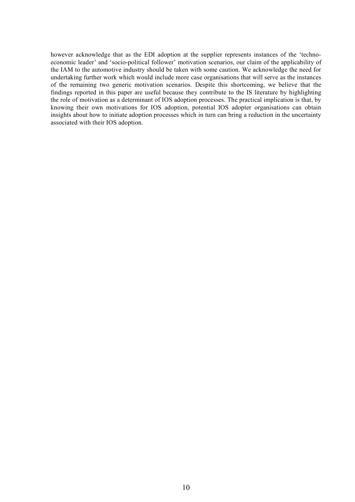however acknowledge that as the EDI adoption at the supplier represents instances of the 'technoeconomic leader' and 'socio-political follower' motivation scenarios, our claim of the applicability of the IAM to the automotive industry should be taken with some caution. We acknowledge the need for undertaking further work which would include more case organisations that will serve as the instances of the remaining two generic motivation scenarios. Despite this shortcoming, we believe that the findings reported in this paper are useful because they contribute to the IS literature by highlighting the role of motivation as a determinant of IOS adoption processes. The practical implication is that, by knowing their own motivations for IOS adoption, potential IOS adopter organisations can obtain insights about how to initiate adoption processes which in turn can bring a reduction in the uncertainty associated with their IOS adoption.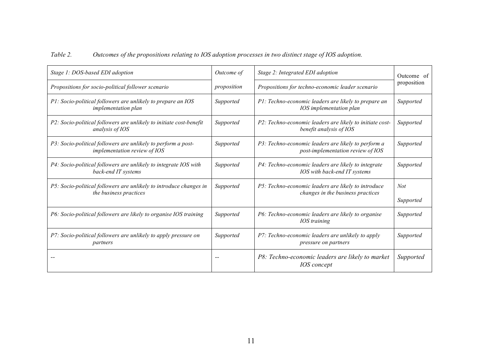| Table 2. |  |  |  | Outcomes of the propositions relating to IOS adoption processes in two distinct stage of IOS adoption. |
|----------|--|--|--|--------------------------------------------------------------------------------------------------------|
|----------|--|--|--|--------------------------------------------------------------------------------------------------------|

| Stage 1: DOS-based EDI adoption                                                                      | Outcome of  | Stage 2: Integrated EDI adoption                                                         | Outcome of              |  |
|------------------------------------------------------------------------------------------------------|-------------|------------------------------------------------------------------------------------------|-------------------------|--|
| Propositions for socio-political follower scenario                                                   | proposition | Propositions for techno-economic leader scenario                                         | proposition             |  |
| P1: Socio-political followers are unlikely to prepare an IOS<br><i>implementation plan</i>           | Supported   | P1: Techno-economic leaders are likely to prepare an<br>IOS implementation plan          | Supported               |  |
| P2: Socio-political followers are unlikely to initiate cost-benefit<br>analysis of IOS               | Supported   | P2: Techno-economic leaders are likely to initiate cost-<br>benefit analysis of IOS      | Supported               |  |
| P3: Socio-political followers are unlikely to perform a post-<br><i>implementation review of IOS</i> | Supported   | P3: Techno-economic leaders are likely to perform a<br>post-implementation review of IOS | Supported               |  |
| P4: Socio-political followers are unlikely to integrate IOS with<br>back-end IT systems              | Supported   | P4: Techno-economic leaders are likely to integrate<br>IOS with back-end IT systems      | Supported               |  |
| P5: Socio-political followers are unlikely to introduce changes in<br>the business practices         | Supported   | P5: Techno-economic leaders are likely to introduce<br>changes in the business practices | <b>Not</b><br>Supported |  |
| P6: Socio-political followers are likely to organise IOS training                                    | Supported   | P6: Techno-economic leaders are likely to organise<br>IOS training                       | Supported               |  |
| P7: Socio-political followers are unlikely to apply pressure on<br>partners                          | Supported   | P7: Techno-economic leaders are unlikely to apply<br><i>pressure on partners</i>         | Supported               |  |
|                                                                                                      |             | P8: Techno-economic leaders are likely to market<br><b>IOS</b> concept                   | Supported               |  |